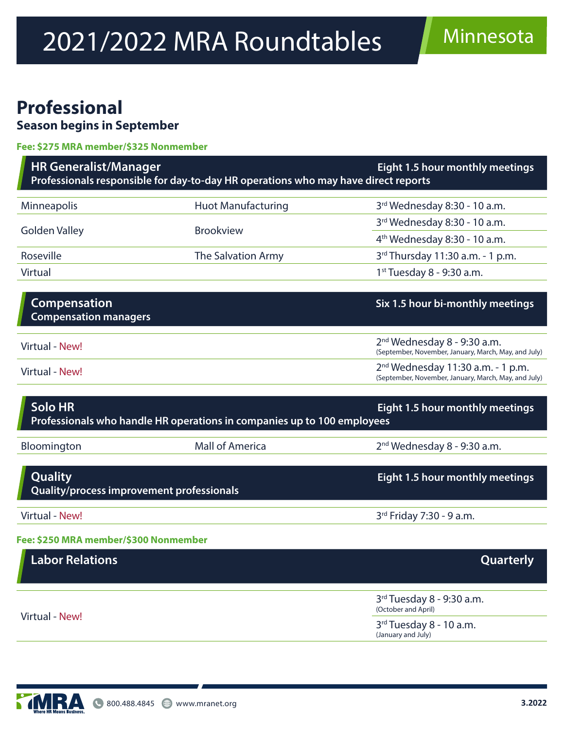# 2021/2022 MRA Roundtables Minnesota

### **Professional Season begins in September**

#### **Fee: \$275 MRA member/\$325 Nonmember**

| <b>HR Generalist/Manager</b><br>Eight 1.5 hour monthly meetings<br>Professionals responsible for day-to-day HR operations who may have direct reports |                                                                         |                                                                                             |
|-------------------------------------------------------------------------------------------------------------------------------------------------------|-------------------------------------------------------------------------|---------------------------------------------------------------------------------------------|
| Minneapolis                                                                                                                                           | <b>Huot Manufacturing</b>                                               | 3rd Wednesday 8:30 - 10 a.m.                                                                |
| <b>Golden Valley</b>                                                                                                                                  | <b>Brookview</b>                                                        | 3rd Wednesday 8:30 - 10 a.m.                                                                |
|                                                                                                                                                       |                                                                         | 4 <sup>th</sup> Wednesday 8:30 - 10 a.m.                                                    |
| Roseville                                                                                                                                             | The Salvation Army                                                      | 3rd Thursday 11:30 a.m. - 1 p.m.                                                            |
| Virtual                                                                                                                                               |                                                                         | 1st Tuesday 8 - 9:30 a.m.                                                                   |
|                                                                                                                                                       |                                                                         |                                                                                             |
| <b>Compensation</b><br><b>Compensation managers</b>                                                                                                   |                                                                         | Six 1.5 hour bi-monthly meetings                                                            |
| Virtual - New!                                                                                                                                        |                                                                         | $2nd$ Wednesday 8 - 9:30 a.m.<br>(September, November, January, March, May, and July)       |
| Virtual - New!                                                                                                                                        |                                                                         | $2nd$ Wednesday 11:30 a.m. - 1 p.m.<br>(September, November, January, March, May, and July) |
| <b>Solo HR</b>                                                                                                                                        | Professionals who handle HR operations in companies up to 100 employees | Eight 1.5 hour monthly meetings                                                             |
| Bloomington                                                                                                                                           | <b>Mall of America</b>                                                  | $2nd$ Wednesday 8 - 9:30 a.m.                                                               |
|                                                                                                                                                       |                                                                         |                                                                                             |
| <b>Quality</b><br>Quality/process improvement professionals                                                                                           |                                                                         | Eight 1.5 hour monthly meetings                                                             |
| Virtual - New!                                                                                                                                        |                                                                         | 3rd Friday 7:30 - 9 a.m.                                                                    |
| Fee: \$250 MRA member/\$300 Nonmember                                                                                                                 |                                                                         |                                                                                             |
| <b>Labor Relations</b>                                                                                                                                |                                                                         | <b>Quarterly</b>                                                                            |
|                                                                                                                                                       |                                                                         | 3rd Tuesday 8 - 9:30 a.m.<br>(October and April)                                            |
| Virtual - New!                                                                                                                                        |                                                                         | 3 <sup>rd</sup> Tuesday 8 - 10 a.m.                                                         |